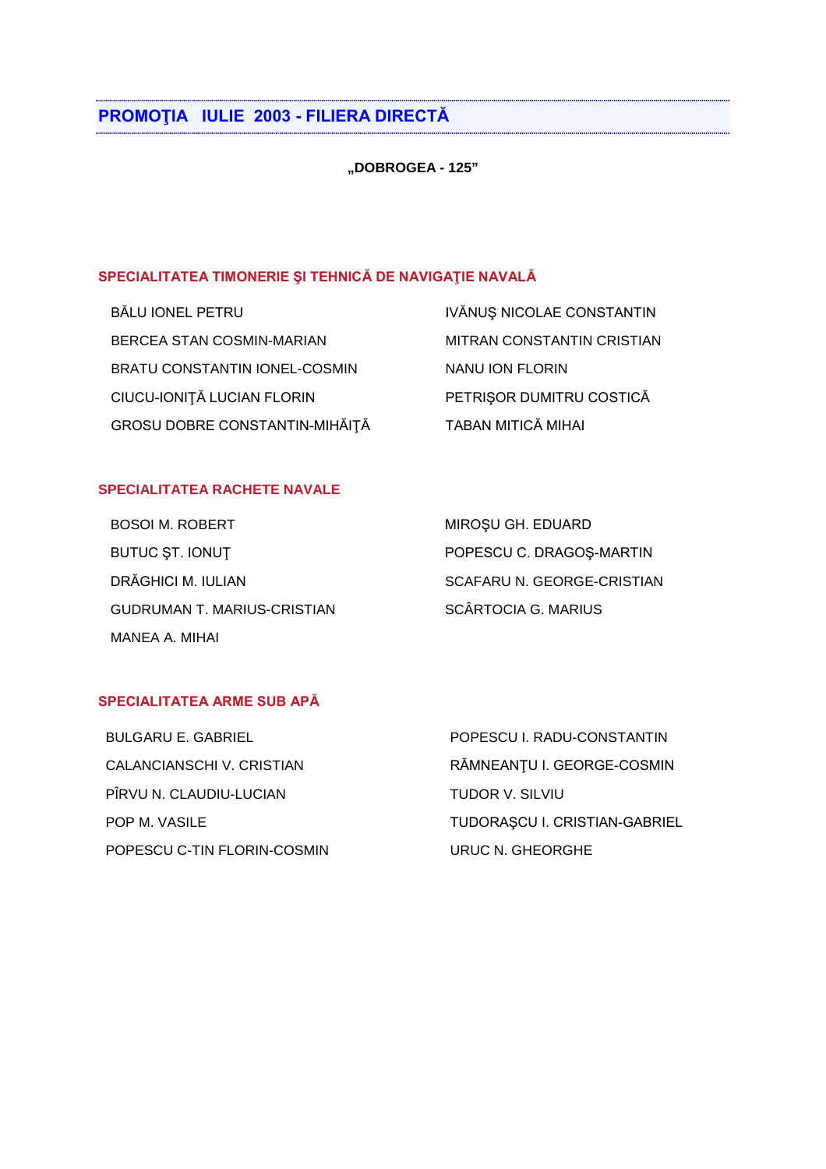# PROMOȚIA IULIE 2003 - FILIERA DIRECTĂ

"DOBROGEA - 125"

## SPECIALITATEA TIMONERIE ȘI TEHNICĂ DE NAVIGAȚIE NAVALĂ

BĂLU IONEL PETRU BERCEA STAN COSMIN-MARIAN BRATU CONSTANTIN IONEL-COSMIN CIUCU-IONIȚĂ LUCIAN FLORIN GROSU DOBRE CONSTANTIN-MIHĂIȚĂ TABAN MITICĂ MIHAI

IVĂNUȘ NICOLAE CONSTANTIN MITRAN CONSTANTIN CRISTIAN NANU ION FLORIN PETRIȘOR DUMITRU COSTICĂ

# **SPECIALITATEA RACHETE NAVALE**

| <b>BOSOI M. ROBERT</b>             | MIROȘU GH. EDUARD          |
|------------------------------------|----------------------------|
| BUTUC ST. IONUT                    | POPESCU C. DRAGOS-MARTIN   |
| DRĂGHICI M. IULIAN                 | SCAFARU N. GEORGE-CRISTIAN |
| <b>GUDRUMAN T. MARIUS-CRISTIAN</b> | <b>SCÂRTOCIA G. MARIUS</b> |
| MANEA A. MIHAI                     |                            |

#### SPECIALITATEA ARME SUB APĂ

| BULGARU E. GABRIEL          | POPESCU I. RADU-CONSTANTIN    |
|-----------------------------|-------------------------------|
| CALANCIANSCHI V. CRISTIAN   | RĂMNEANȚU I. GEORGE-COSMIN    |
| PÎRVU N. CLAUDIU-LUCIAN     | TUDOR V. SILVIU               |
| POP M. VASILE               | TUDORAȘCU I. CRISTIAN-GABRIEL |
| POPESCU C-TIN FLORIN-COSMIN | URUC N. GHEORGHE              |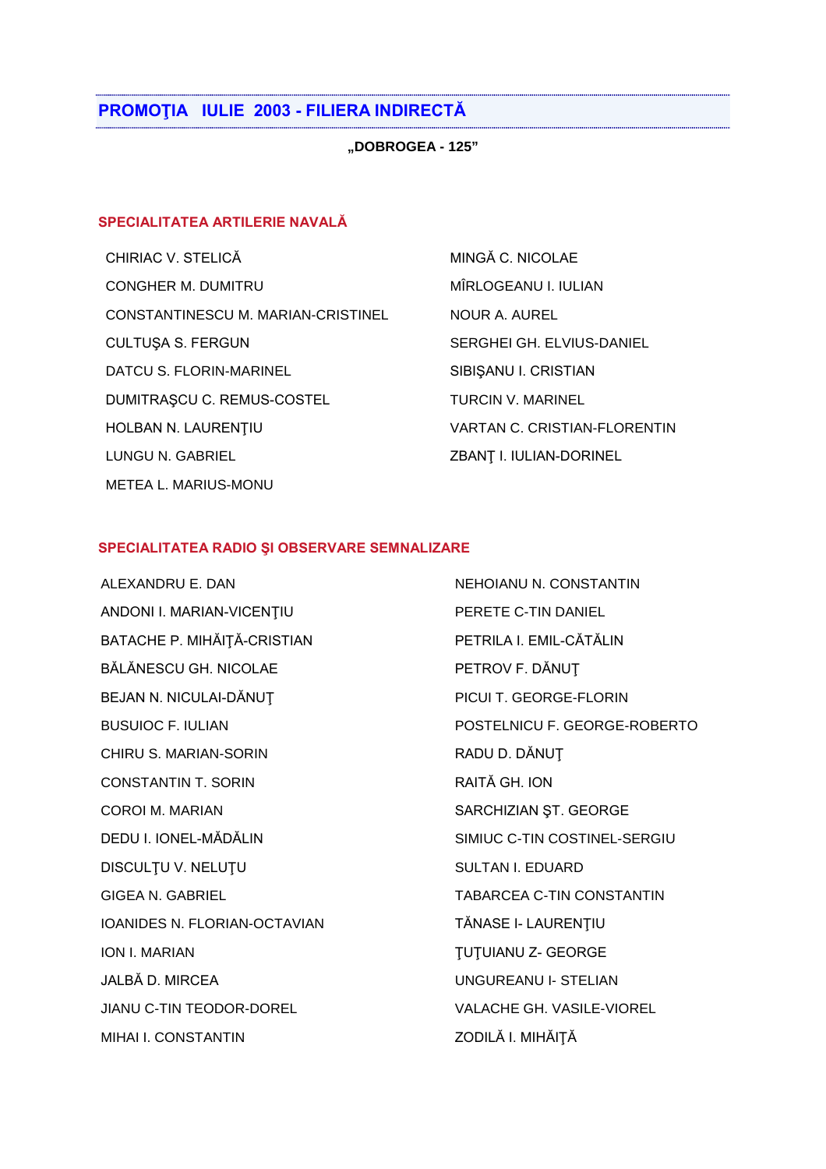## **PROMOŢIA IULIE 2003 - FILIERA INDIRECTĂ**

**"DOBROGEA - 125"**

### **SPECIALITATEA ARTILERIE NAVALĂ**

CHIRIAC V. STELICĂ MINGĂ C. NICOLAE CONGHER M. DUMITRU MIRLOGEANU I. IULIAN CONSTANTINESCU M. MARIAN-CRISTINEL NOUR A. AUREL CULTUSA S. FERGUN SERGHEI GH. ELVIUS-DANIEL DATCU S. FLORIN-MARINEL SIBIŞANU I. CRISTIAN DUMITRAȘCU C. REMUS-COSTEL TURCIN V. MARINEL HOLBAN N. LAURENŢIU VARTAN C. CRISTIAN-FLORENTIN LUNGU N. GABRIEL ZBANŢ I. IULIAN-DORINEL METEA L. MARIUS-MONU

#### **SPECIALITATEA RADIO ŞI OBSERVARE SEMNALIZARE**

ALEXANDRU E. DAN NEHOIANU N. CONSTANTIN ANDONI I. MARIAN-VICENTIU PERETE C-TIN DANIEL BATACHE P. MIHĂITĂ-CRISTIAN PETRILA I. EMIL-CĂTĂLIN BĂLĂNESCU GH. NICOLAE PETROV F. DĂNUT BEJAN N. NICULAI-DĂNUȚ PICUI T. GEORGE-FLORIN BUSUIOC F. IULIAN POSTELNICU F. GEORGE-ROBERTO CHIRU S. MARIAN-SORIN RADU D. DĂNUȚ CONSTANTIN T. SORIN RAITĂ GH. ION COROI M. MARIAN SARCHIZIAN ST. GEORGE DEDU I. IONEL-MĂDĂLIN SIMIUC C-TIN COSTINEL-SERGIU DISCULȚU V. NELUȚU SULTAN I. EDUARD GIGEA N. GABRIEL TABARCEA C-TIN CONSTANTIN IOANIDES N. FLORIAN-OCTAVIAN TĂNASE I- LAURENTIU **ION I. MARIAN GEORGE THE SECOND TUTUIANU Z- GEORGE** JALBĂ D. MIRCEA UNGUREANU I- STELIAN JIANU C-TIN TEODOR-DOREL VALACHE GH. VASILE-VIOREL MIHAI I. CONSTANTIN ZODILĂ I. MIHĂIȚĂ